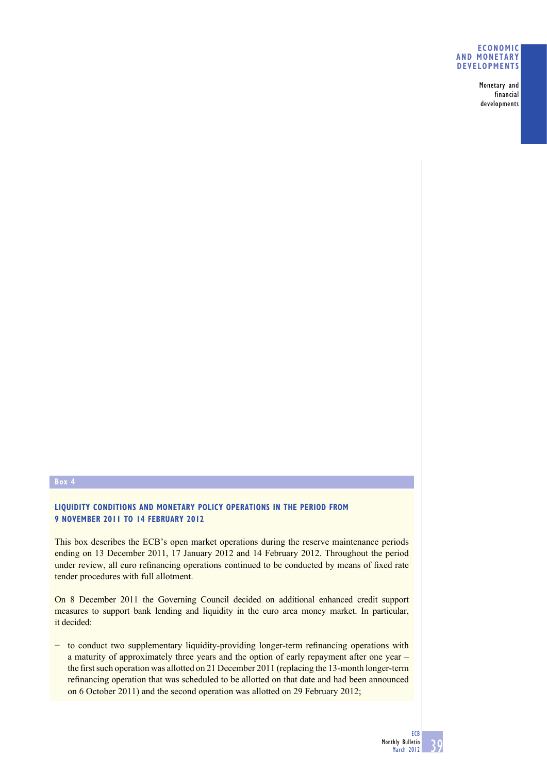#### **ECONOMIC AND MONETARY DEVELOPMENTS**

Monetary and financial developments

# **Box 4**

## **LIQUIDITY CONDITIONS AND MONETARY POLICY OPERATIONS IN THE PERIOD FROM 9 NOVEMBER 2011 TO 14 FEBRUARY 2012**

This box describes the ECB's open market operations during the reserve maintenance periods ending on 13 December 2011, 17 January 2012 and 14 February 2012. Throughout the period under review, all euro refinancing operations continued to be conducted by means of fixed rate tender procedures with full allotment.

On 8 December 2011 the Governing Council decided on additional enhanced credit support measures to support bank lending and liquidity in the euro area money market. In particular, it decided:

- to conduct two supplementary liquidity-providing longer-term refinancing operations with a maturity of approximately three years and the option of early repayment after one year – the first such operation was allotted on 21 December 2011 (replacing the 13-month longer-term refinancing operation that was scheduled to be allotted on that date and had been announced on 6 October 2011) and the second operation was allotted on 29 February 2012;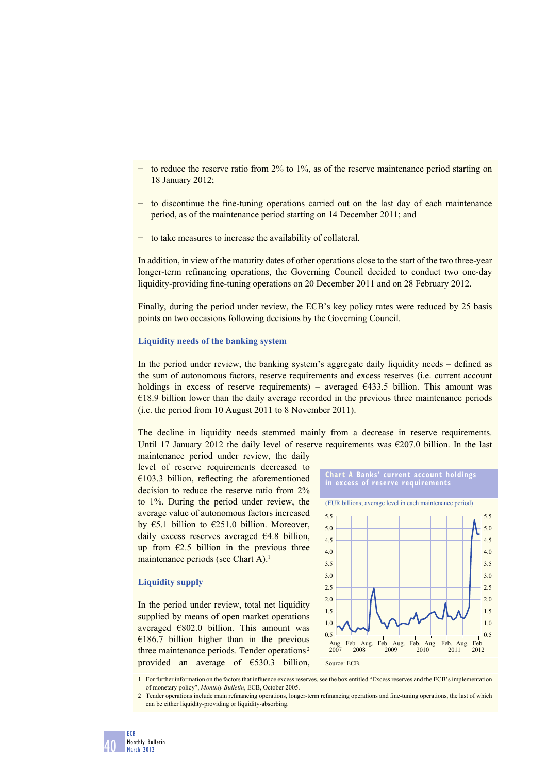- to reduce the reserve ratio from 2% to 1%, as of the reserve maintenance period starting on 18 January 2012;
- to discontinue the fine-tuning operations carried out on the last day of each maintenance period, as of the maintenance period starting on 14 December 2011; and
- to take measures to increase the availability of collateral.

In addition, in view of the maturity dates of other operations close to the start of the two three-year longer-term refinancing operations, the Governing Council decided to conduct two one-day liquidity-providing fine-tuning operations on 20 December 2011 and on 28 February 2012.

Finally, during the period under review, the ECB's key policy rates were reduced by 25 basis points on two occasions following decisions by the Governing Council.

#### **Liquidity needs of the banking system**

In the period under review, the banking system's aggregate daily liquidity needs – defined as the sum of autonomous factors, reserve requirements and excess reserves (i.e. current account holdings in excess of reserve requirements) – averaged  $\epsilon$ 433.5 billion. This amount was  $E18.9$  billion lower than the daily average recorded in the previous three maintenance periods (i.e. the period from 10 August 2011 to 8 November 2011).

The decline in liquidity needs stemmed mainly from a decrease in reserve requirements. Until 17 January 2012 the daily level of reserve requirements was  $\epsilon$ 207.0 billion. In the last

maintenance period under review, the daily level of reserve requirements decreased to  $€103.3$  billion, reflecting the aforementioned decision to reduce the reserve ratio from 2% to 1%. During the period under review, the average value of autonomous factors increased by  $\epsilon$ 5.1 billion to  $\epsilon$ 251.0 billion. Moreover, daily excess reserves averaged €4.8 billion, up from  $E2.5$  billion in the previous three maintenance periods (see Chart A).<sup>1</sup>

#### **Liquidity supply**

In the period under review, total net liquidity supplied by means of open market operations averaged  $€802.0$  billion. This amount was  $€186.7$  billion higher than in the previous three maintenance periods. Tender operations 2 provided an average of €530.3 billion,





1 For further information on the factors that influence excess reserves, see the box entitled "Excess reserves and the ECB's implementation of monetary policy", *Monthly Bulletin*, ECB, October 2005.

2 Tender operations include main refinancing operations, longer-term refinancing operations and fine-tuning operations, the last of which can be either liquidity-providing or liquidity-absorbing.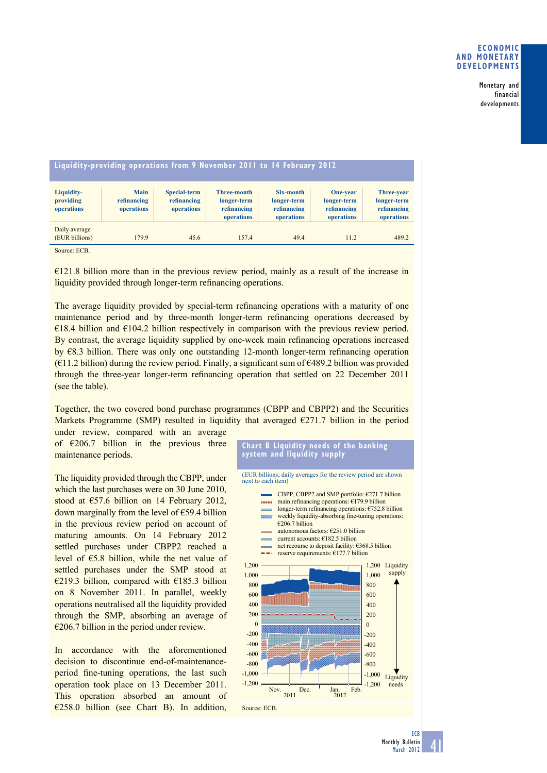Monetary and financial developments

| Liquidity-providing operations from 9 November 2011 to 14 February 2012 |                                          |                                                  |                                                         |                                                       |                                                      |                                                               |
|-------------------------------------------------------------------------|------------------------------------------|--------------------------------------------------|---------------------------------------------------------|-------------------------------------------------------|------------------------------------------------------|---------------------------------------------------------------|
| Liquidity-<br>providing<br>operations                                   | <b>Main</b><br>refinancing<br>operations | <b>Special-term</b><br>refinancing<br>operations | Three-month<br>longer-term<br>refinancing<br>operations | Six-month<br>longer-term<br>refinancing<br>operations | One-year<br>longer-term<br>refinancing<br>operations | <b>Three-year</b><br>longer-term<br>refinancing<br>operations |
| Daily average<br>(EUR billions)                                         | 179.9                                    | 45.6                                             | 157.4                                                   | 49.4                                                  | 11.2                                                 | 489.2                                                         |

Source: ECB.

€121.8 billion more than in the previous review period, mainly as a result of the increase in liquidity provided through longer-term refinancing operations.

The average liquidity provided by special-term refinancing operations with a maturity of one maintenance period and by three-month longer-term refinancing operations decreased by  $€18.4$  billion and  $€104.2$  billion respectively in comparison with the previous review period. By contrast, the average liquidity supplied by one-week main refinancing operations increased by €8.3 billion. There was only one outstanding 12-month longer-term refinancing operation  $(611.2 \text{ billion})$  during the review period. Finally, a significant sum of  $6489.2$  billion was provided through the three-year longer-term refinancing operation that settled on 22 December 2011 (see the table).

Together, the two covered bond purchase programmes (CBPP and CBPP2) and the Securities Markets Programme (SMP) resulted in liquidity that averaged  $\epsilon$ 271.7 billion in the period under review, compared with an average

of  $\epsilon$ 206.7 billion in the previous three maintenance periods.

The liquidity provided through the CBPP, under which the last purchases were on 30 June 2010. stood at €57.6 billion on 14 February 2012, down marginally from the level of  $E$ 59.4 billion in the previous review period on account of maturing amounts. On 14 February 2012 settled purchases under CBPP2 reached a level of €5.8 billion, while the net value of settled purchases under the SMP stood at €219.3 billion, compared with €185.3 billion on 8 November 2011. In parallel, weekly operations neutralised all the liquidity provided through the SMP, absorbing an average of  $\epsilon$ 206.7 billion in the period under review.

In accordance with the aforementioned decision to discontinue end-of-maintenanceperiod fine-tuning operations, the last such operation took place on 13 December 2011. This operation absorbed an amount of  $\epsilon$ 258.0 billion (see Chart B). In addition,

**Chart B Liquidity needs of the banking system and liquidity supply**



41